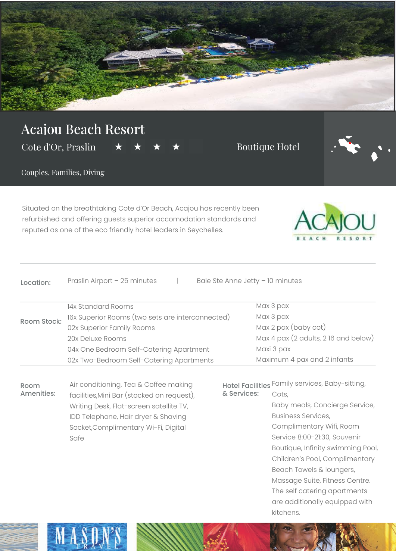

## Acajou Beach Resort

Cote d'Or, Praslin  $\star \star \star \star$  A Boutique Hotel



Couples, Families, Diving

Safe

Situated on the breathtaking Cote d'Or Beach, Acajou has recently been refurbished and offering guests superior accomodation standards and reputed as one of the eco friendly hotel leaders in Seychelles.



| Location:          | Praslin Airport - 25 minutes                     |                                                 | Baie Ste Anne Jetty - 10 minutes     |
|--------------------|--------------------------------------------------|-------------------------------------------------|--------------------------------------|
|                    | 14x Standard Rooms                               |                                                 | Max 3 pax                            |
| <b>Room Stock:</b> | 16x Superior Rooms (two sets are interconnected) |                                                 | Max 3 pax                            |
|                    | 02x Superior Family Rooms                        |                                                 | Max 2 pax (baby cot)                 |
|                    | 20x Deluxe Rooms                                 |                                                 | Max 4 pax (2 adults, 2 16 and below) |
|                    | 04x One Bedroom Self-Catering Apartment          |                                                 | Maxi 3 pax                           |
|                    | 02x Two-Bedroom Self-Catering Apartments         |                                                 | Maximum 4 pax and 2 infants          |
| Room<br>Amenities: | Air conditioning, Tea & Coffee making            | Hotel Facilities Family services, Baby-sitting, |                                      |
|                    | facilities, Mini Bar (stocked on request),       | & Services:                                     | Cots,                                |
|                    | Writing Desk, Flat-screen satellite TV,          |                                                 | Baby meals, Concierge Service,       |
|                    | IDD Telephone, Hair dryer & Shaving              |                                                 | <b>Business Services,</b>            |
|                    | Socket, Complimentary Wi-Fi, Digital             |                                                 | Complimentary Wifi, Room             |

Service 8:00-21:30, Souvenir Boutique, Infinity swimming Pool, Children's Pool, Complimentary Beach Towels & loungers, Massage Suite, Fitness Centre. The self catering apartments are additionally equipped with kitchens.